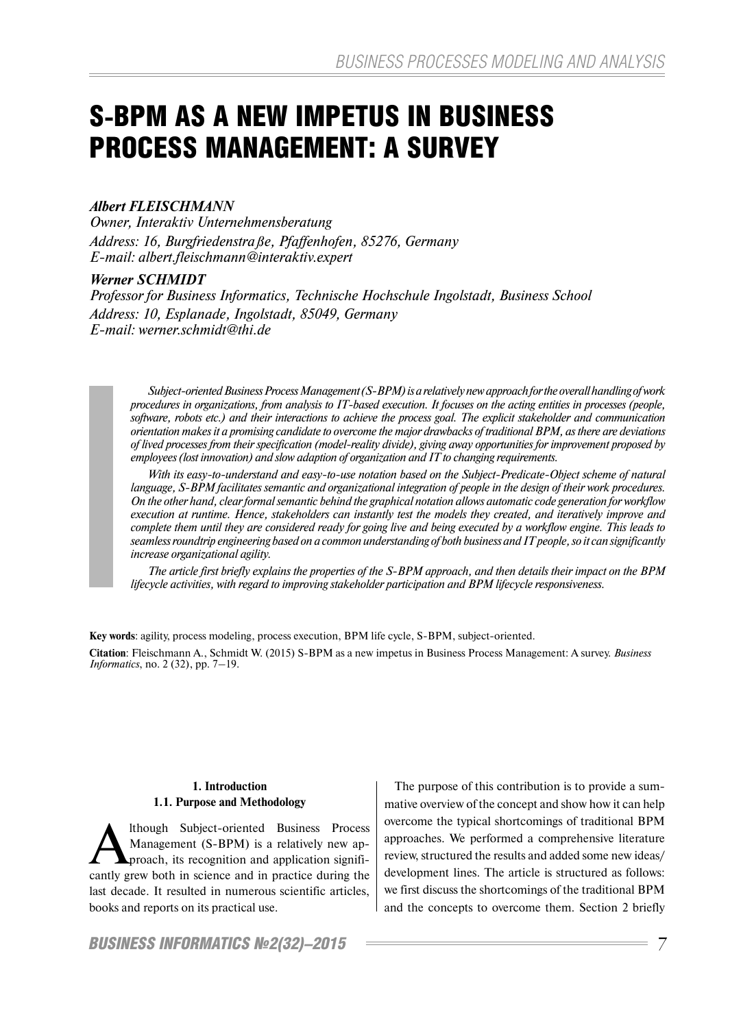# S-BPM AS A NEW IMPETUS IN BUSINESS PROCESS MANAGEMENT: A SURVEY

# *Albert FLEISCHMANN*

*Owner, Interaktiv Unternehmensberatung Address: 16, Burgfriedenstra e, Pfaffenhofen, 85276, Germany E-mail: albert.fleischmann@interaktiv.expert* 

# *Werner SCHMIDT*

*Professor for Business Informatics, Technische Hochschule Ingolstadt, Business School Address: 10, Esplanade, Ingolstadt, 85049, Germany E-mail: werner.schmidt@thi.de*

*Subject-oriented Business Process Management (S-BPM) is a relatively new approach for the overall handling of work procedures in organizations, from analysis to IT-based execution. It focuses on the acting entities in processes (people, software, robots etc.) and their interactions to achieve the process goal. The explicit stakeholder and communication orientation makes it a promising candidate to overcome the major drawbacks of traditional BPM, as there are deviations of lived processes from their specification (model-reality divide), giving away opportunities for improvement proposed by employees (lost innovation) and slow adaption of organization and IT to changing requirements.*

*With its easy-to-understand and easy-to-use notation based on the Subject-Predicate-Object scheme of natural language, S-BPM facilitates semantic and organizational integration of people in the design of their work procedures. On the other hand, clear formal semantic behind the graphical notation allows automatic code generation for workflow execution at runtime. Hence, stakeholders can instantly test the models they created, and iteratively improve and complete them until they are considered ready for going live and being executed by a workflow engine. This leads to seamless roundtrip engineering based on a common understanding of both business and IT people, so it can significantly increase organizational agility.* 

*The article first briefly explains the properties of the S-BPM approach, and then details their impact on the BPM lifecycle activities, with regard to improving stakeholder participation and BPM lifecycle responsiveness.*

**Key words**: agility, process modeling, process execution, BPM life cycle, S-BPM, subject-oriented.

**Citation**: Fleischmann A., Schmidt W. (2015) S-BPM as a new impetus in Business Process Management: A survey. *Business Informatics*, no. 2 (32), pp. 7–19.

# **1. Introduction 1.1. Purpose and Methodology**

Although Subject-oriented Business Process<br>
Management (S-BPM) is a relatively new approach, its recognition and application signifi-<br>
contly grow both in science and in proatice during the Management (S-BPM) is a relatively new apcantly grew both in science and in practice during the last decade. It resulted in numerous scientific articles, books and reports on its practical use.

The purpose of this contribution is to provide a summative overview of the concept and show how it can help overcome the typical shortcomings of traditional BPM approaches. We performed a comprehensive literature review, structured the results and added some new ideas/ development lines. The article is structured as follows: we first discuss the shortcomings of the traditional BPM and the concepts to overcome them. Section 2 briefly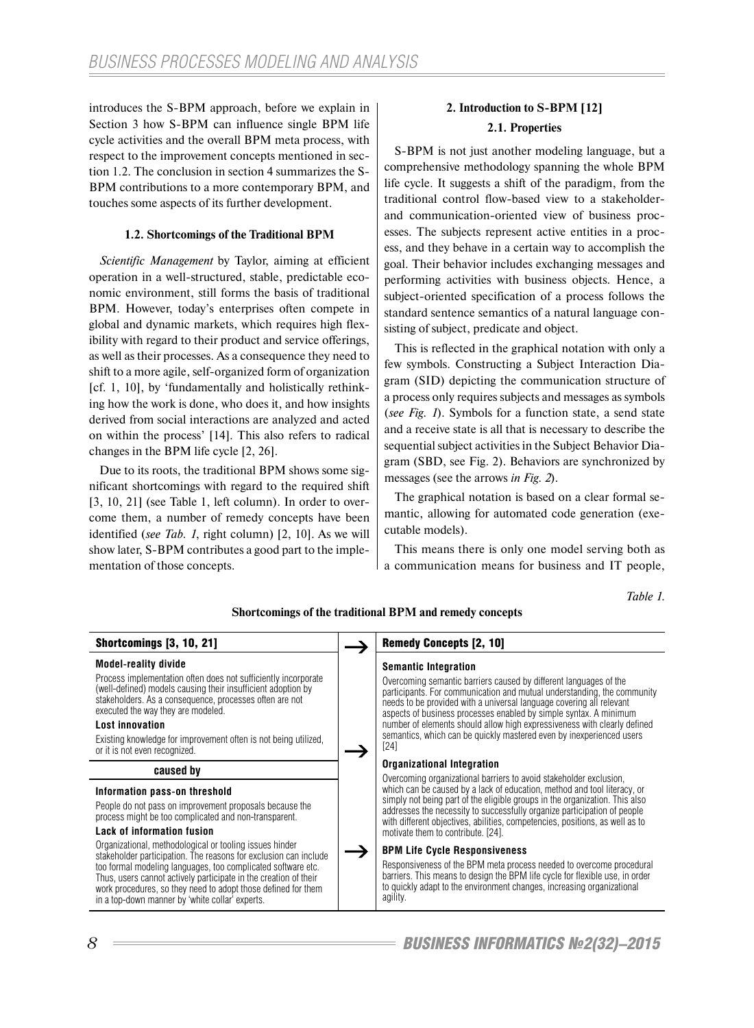introduces the S-BPM approach, before we explain in Section 3 how S-BPM can influence single BPM life cycle activities and the overall BPM meta process, with respect to the improvement concepts mentioned in section 1.2. The conclusion in section 4 summarizes the S-BPM contributions to a more contemporary BPM, and touches some aspects of its further development.

# **1.2. Shortcomings of the Traditional BPM**

*Scientific Management* by Taylor, aiming at efficient operation in a well-structured, stable, predictable economic environment, still forms the basis of traditional BPM. However, today's enterprises often compete in global and dynamic markets, which requires high flexibility with regard to their product and service offerings, as well as their processes. As a consequence they need to shift to a more agile, self-organized form of organization [cf. 1, 10], by 'fundamentally and holistically rethinking how the work is done, who does it, and how insights derived from social interactions are analyzed and acted on within the process' [14]. This also refers to radical changes in the BPM life cycle [2, 26].

Due to its roots, the traditional BPM shows some significant shortcomings with regard to the required shift [3, 10, 21] (see Table 1, left column). In order to overcome them, a number of remedy concepts have been identified (*see Tab. 1*, right column) [2, 10]. As we will show later, S-BPM contributes a good part to the implementation of those concepts.

# **2. Introduction to S-BPM [12] 2.1. Properties**

S-BPM is not just another modeling language, but a comprehensive methodology spanning the whole BPM life cycle. It suggests a shift of the paradigm, from the traditional control flow-based view to a stakeholderand communication-oriented view of business processes. The subjects represent active entities in a process, and they behave in a certain way to accomplish the goal. Their behavior includes exchanging messages and performing activities with business objects. Hence, a subject-oriented specification of a process follows the standard sentence semantics of a natural language consisting of subject, predicate and object.

This is reflected in the graphical notation with only a few symbols. Constructing a Subject Interaction Diagram (SID) depicting the communication structure of a process only requires subjects and messages as symbols (*see Fig. 1*). Symbols for a function state, a send state and a receive state is all that is necessary to describe the sequential subject activities in the Subject Behavior Diagram (SBD, see Fig. 2). Behaviors are synchronized by messages (see the arrows *in Fig. 2*).

The graphical notation is based on a clear formal semantic, allowing for automated code generation (executable models).

This means there is only one model serving both as a communication means for business and IT people,

*Table 1.* 

| <b>Shortcomings [3, 10, 21]</b>                                                                                                                                                                                                                                                                                                                                                              | <b>Remedy Concepts [2, 10]</b>                                                                                                                                                                                                                                                                                                                                                                                                                                                       |
|----------------------------------------------------------------------------------------------------------------------------------------------------------------------------------------------------------------------------------------------------------------------------------------------------------------------------------------------------------------------------------------------|--------------------------------------------------------------------------------------------------------------------------------------------------------------------------------------------------------------------------------------------------------------------------------------------------------------------------------------------------------------------------------------------------------------------------------------------------------------------------------------|
| <b>Model-reality divide</b><br>Process implementation often does not sufficiently incorporate<br>(well-defined) models causing their insufficient adoption by<br>stakeholders. As a consequence, processes often are not<br>executed the way they are modeled.<br><b>Lost innovation</b><br>Existing knowledge for improvement often is not being utilized,<br>or it is not even recognized. | <b>Semantic Integration</b><br>Overcoming semantic barriers caused by different languages of the<br>participants. For communication and mutual understanding, the community<br>needs to be provided with a universal language covering all relevant<br>aspects of business processes enabled by simple syntax. A minimum<br>number of elements should allow high expressiveness with clearly defined<br>semantics, which can be quickly mastered even by inexperienced users<br>[24] |
| caused by                                                                                                                                                                                                                                                                                                                                                                                    | <b>Organizational Integration</b>                                                                                                                                                                                                                                                                                                                                                                                                                                                    |
| Information pass-on threshold<br>People do not pass on improvement proposals because the<br>process might be too complicated and non-transparent.<br>Lack of information fusion                                                                                                                                                                                                              | Overcoming organizational barriers to avoid stakeholder exclusion,<br>which can be caused by a lack of education, method and tool literacy, or<br>simply not being part of the eligible groups in the organization. This also<br>addresses the necessity to successfully organize participation of people<br>with different objectives, abilities, competencies, positions, as well as to<br>motivate them to contribute. [24].                                                      |
| Organizational, methodological or tooling issues hinder<br>stakeholder participation. The reasons for exclusion can include<br>too formal modeling languages, too complicated software etc.<br>Thus, users cannot actively participate in the creation of their<br>work procedures, so they need to adopt those defined for them<br>in a top-down manner by 'white collar' experts.          | <b>BPM Life Cycle Responsiveness</b><br>Responsiveness of the BPM meta process needed to overcome procedural<br>barriers. This means to design the BPM life cycle for flexible use, in order<br>to quickly adapt to the environment changes, increasing organizational<br>agility.                                                                                                                                                                                                   |

#### **Shortcomings of the traditional BPM and remedy concepts**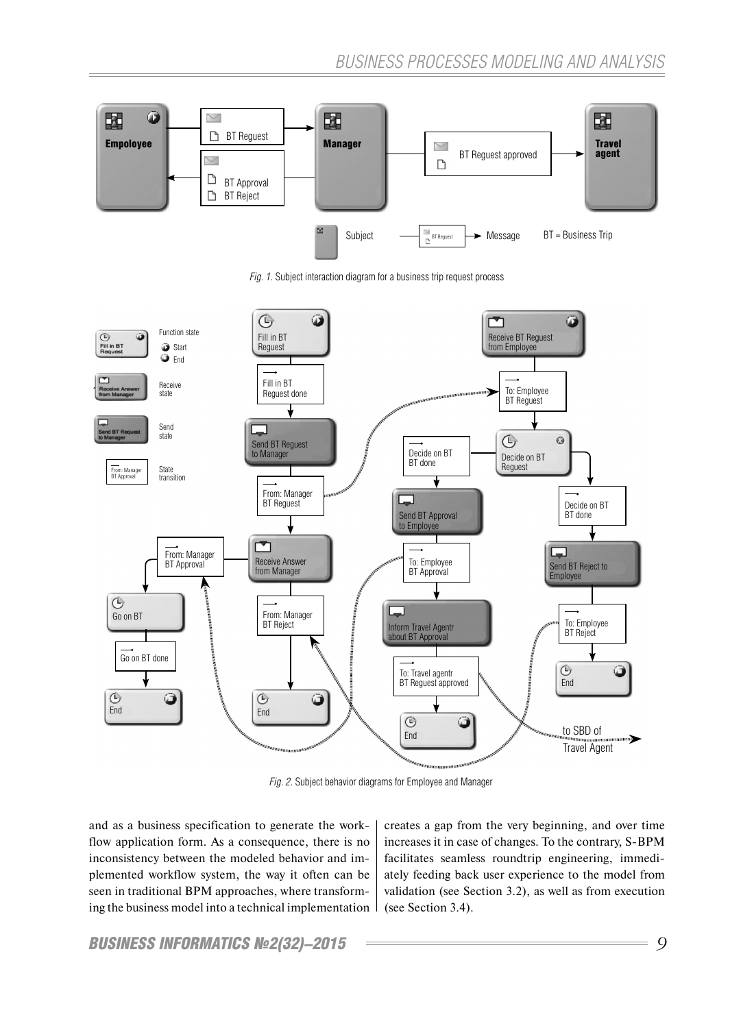

*Fig. 1*. Subject interaction diagram for a business trip request process



*Fig. 2.* Subject behavior diagrams for Employee and Manager

and as a business specification to generate the workflow application form. As a consequence, there is no inconsistency between the modeled behavior and implemented workflow system, the way it often can be seen in traditional BPM approaches, where transforming the business model into a technical implementation creates a gap from the very beginning, and over time increases it in case of changes. To the contrary, S-BPM facilitates seamless roundtrip engineering, immediately feeding back user experience to the model from validation (see Section 3.2), as well as from execution (see Section 3.4).

*BUSINESS INFORMATICS №2(32)–2015 9*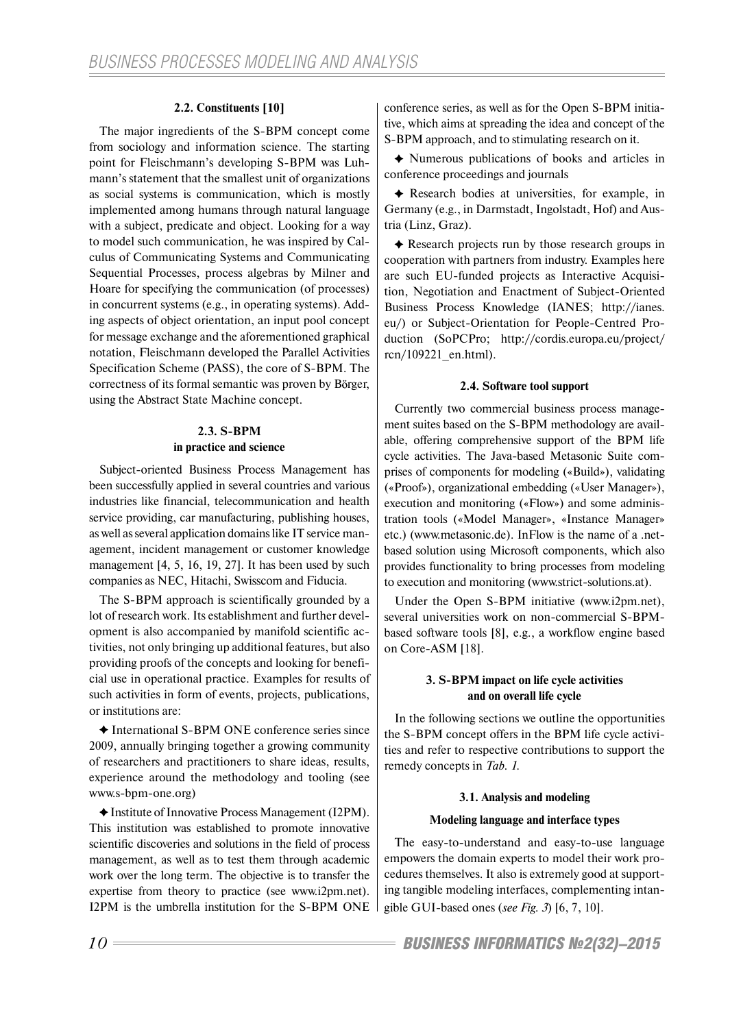# **2.2. Constituents [10]**

The major ingredients of the S-BPM concept come from sociology and information science. The starting point for Fleischmann's developing S-BPM was Luhmann's statement that the smallest unit of organizations as social systems is communication, which is mostly implemented among humans through natural language with a subject, predicate and object. Looking for a way to model such communication, he was inspired by Calculus of Communicating Systems and Communicating Sequential Processes, process algebras by Milner and Hoare for specifying the communication (of processes) in concurrent systems (e.g., in operating systems). Adding aspects of object orientation, an input pool concept for message exchange and the aforementioned graphical notation, Fleischmann developed the Parallel Activities Specification Scheme (PASS), the core of S-BPM. The correctness of its formal semantic was proven by Börger, using the Abstract State Machine concept.

# **2.3. S-BPM in practice and science**

Subject-oriented Business Process Management has been successfully applied in several countries and various industries like financial, telecommunication and health service providing, car manufacturing, publishing houses, as well as several application domains like IT service management, incident management or customer knowledge management [4, 5, 16, 19, 27]. It has been used by such companies as NEC, Hitachi, Swisscom and Fiducia.

The S-BPM approach is scientifically grounded by a lot of research work. Its establishment and further development is also accompanied by manifold scientific activities, not only bringing up additional features, but also providing proofs of the concepts and looking for beneficial use in operational practice. Examples for results of such activities in form of events, projects, publications, or institutions are:

International S-BPM ONE conference series since 2009, annually bringing together a growing community of researchers and practitioners to share ideas, results, experience around the methodology and tooling (see www.s-bpm-one.org)

 Institute of Innovative Process Management (I2PM). This institution was established to promote innovative scientific discoveries and solutions in the field of process management, as well as to test them through academic work over the long term. The objective is to transfer the expertise from theory to practice (see www.i2pm.net). I2PM is the umbrella institution for the S-BPM ONE conference series, as well as for the Open S-BPM initiative, which aims at spreading the idea and concept of the S-BPM approach, and to stimulating research on it.

 Numerous publications of books and articles in conference proceedings and journals

 Research bodies at universities, for example, in Germany (e.g., in Darmstadt, Ingolstadt, Hof) and Austria (Linz, Graz).

 Research projects run by those research groups in cooperation with partners from industry. Examples here are such EU-funded projects as Interactive Acquisition, Negotiation and Enactment of Subject-Oriented Business Process Knowledge (IANES; http://ianes. eu/) or Subject-Orientation for People-Centred Production (SoPCPro; http://cordis.europa.eu/project/ rcn/109221\_en.html).

# **2.4. Software tool support**

Currently two commercial business process management suites based on the S-BPM methodology are available, offering comprehensive support of the BPM life cycle activities. The Java-based Metasonic Suite comprises of components for modeling («Build»), validating («Proof»), organizational embedding («User Manager»), execution and monitoring («Flow») and some administration tools («Model Manager», «Instance Manager» etc.) (www.metasonic.de). InFlow is the name of a .netbased solution using Microsoft components, which also provides functionality to bring processes from modeling to execution and monitoring (www.strict-solutions.at).

Under the Open S-BPM initiative (www.i2pm.net), several universities work on non-commercial S-BPMbased software tools [8], e.g., a workflow engine based on Core-ASM [18].

# **3. S-BPM impact on life cycle activities and on overall life cycle**

In the following sections we outline the opportunities the S-BPM concept offers in the BPM life cycle activities and refer to respective contributions to support the remedy concepts in *Tab. 1*.

#### **3.1. Analysis and modeling**

#### **Modeling language and interface types**

The easy-to-understand and easy-to-use language empowers the domain experts to model their work procedures themselves. It also is extremely good at supporting tangible modeling interfaces, complementing intangible GUI-based ones (*see Fig. 3*) [6, 7, 10].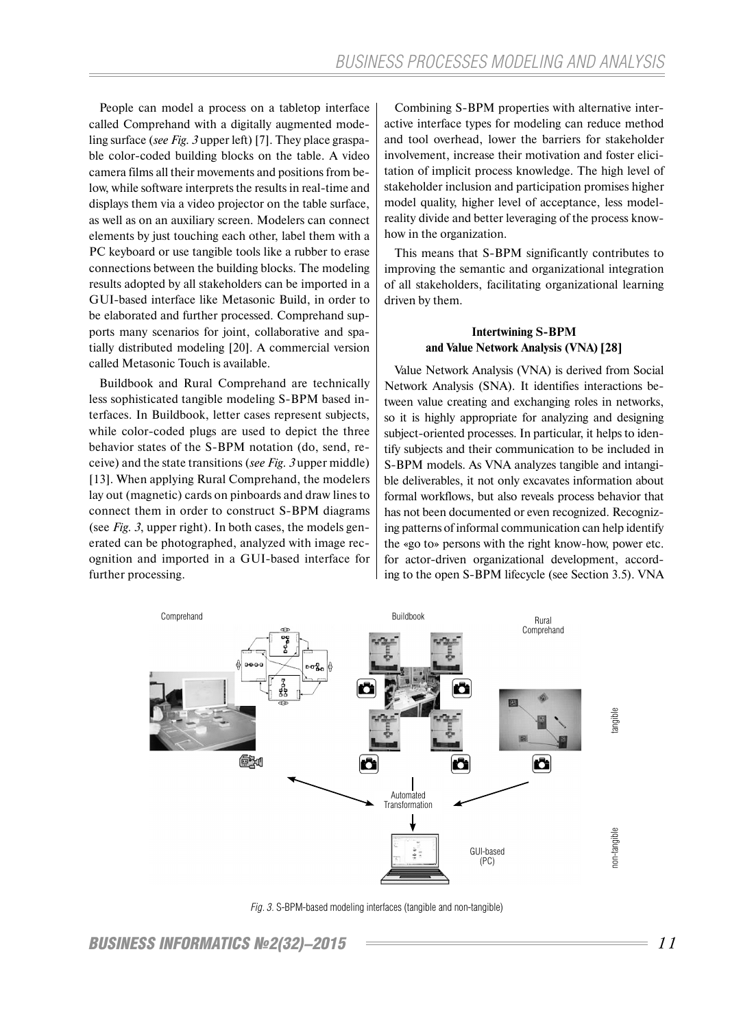People can model a process on a tabletop interface called Comprehand with a digitally augmented modeling surface (*see Fig. 3* upper left) [7]. They place graspable color-coded building blocks on the table. A video camera films all their movements and positions from below, while software interprets the results in real-time and displays them via a video projector on the table surface, as well as on an auxiliary screen. Modelers can connect elements by just touching each other, label them with a PC keyboard or use tangible tools like a rubber to erase connections between the building blocks. The modeling results adopted by all stakeholders can be imported in a GUI-based interface like Metasonic Build, in order to be elaborated and further processed. Comprehand supports many scenarios for joint, collaborative and spatially distributed modeling [20]. A commercial version called Metasonic Touch is available.

Buildbook and Rural Comprehand are technically less sophisticated tangible modeling S-BPM based interfaces. In Buildbook, letter cases represent subjects, while color-coded plugs are used to depict the three behavior states of the S-BPM notation (do, send, receive) and the state transitions (*see Fig. 3* upper middle) [13]. When applying Rural Comprehand, the modelers lay out (magnetic) cards on pinboards and draw lines to connect them in order to construct S-BPM diagrams (see *Fig. 3*, upper right). In both cases, the models generated can be photographed, analyzed with image recognition and imported in a GUI-based interface for further processing.

Combining S-BPM properties with alternative interactive interface types for modeling can reduce method and tool overhead, lower the barriers for stakeholder involvement, increase their motivation and foster elicitation of implicit process knowledge. The high level of stakeholder inclusion and participation promises higher model quality, higher level of acceptance, less modelreality divide and better leveraging of the process knowhow in the organization.

This means that S-BPM significantly contributes to improving the semantic and organizational integration of all stakeholders, facilitating organizational learning driven by them.

# **Intertwining S-BPM and Value Network Analysis (VNA) [28]**

Value Network Analysis (VNA) is derived from Social Network Analysis (SNA). It identifies interactions between value creating and exchanging roles in networks, so it is highly appropriate for analyzing and designing subject-oriented processes. In particular, it helps to identify subjects and their communication to be included in S-BPM models. As VNA analyzes tangible and intangible deliverables, it not only excavates information about formal workflows, but also reveals process behavior that has not been documented or even recognized. Recognizing patterns of informal communication can help identify the «go to» persons with the right know-how, power etc. for actor-driven organizational development, according to the open S-BPM lifecycle (see Section 3.5). VNA



*Fig. 3.* S-BPM-based modeling interfaces (tangible and non-tangible)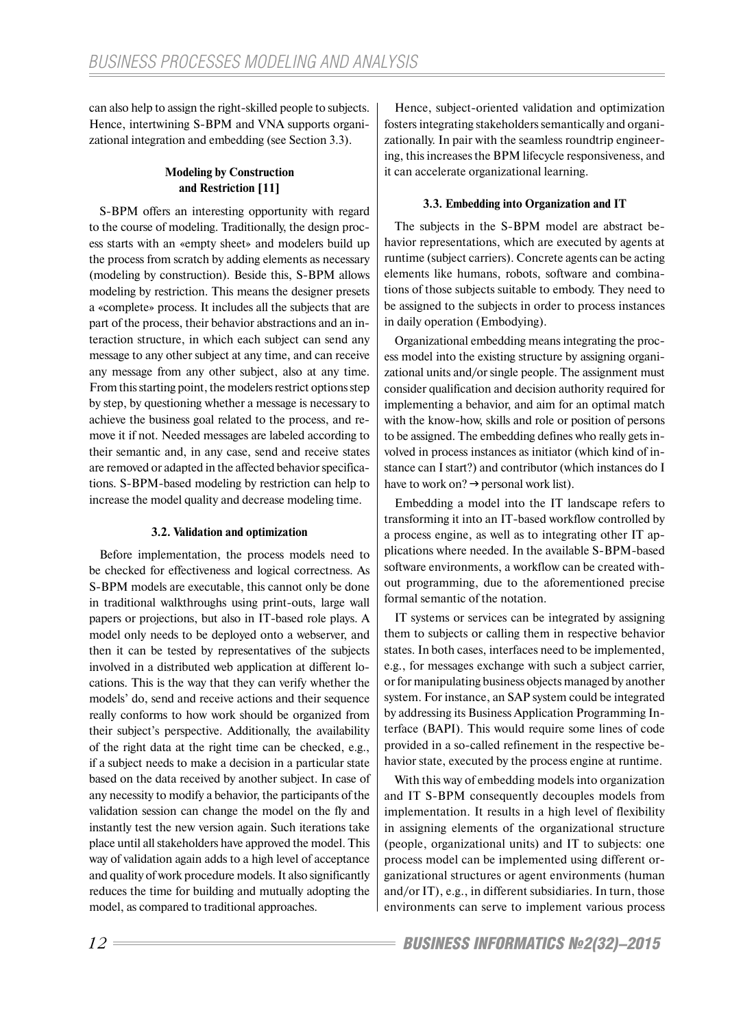can also help to assign the right-skilled people to subjects. Hence, intertwining S-BPM and VNA supports organizational integration and embedding (see Section 3.3).

#### **Modeling by Construction and Restriction [11]**

S-BPM offers an interesting opportunity with regard to the course of modeling. Traditionally, the design process starts with an «empty sheet» and modelers build up the process from scratch by adding elements as necessary (modeling by construction). Beside this, S-BPM allows modeling by restriction. This means the designer presets a «complete» process. It includes all the subjects that are part of the process, their behavior abstractions and an interaction structure, in which each subject can send any message to any other subject at any time, and can receive any message from any other subject, also at any time. From this starting point, the modelers restrict options step by step, by questioning whether a message is necessary to achieve the business goal related to the process, and remove it if not. Needed messages are labeled according to their semantic and, in any case, send and receive states are removed or adapted in the affected behavior specifications. S-BPM-based modeling by restriction can help to increase the model quality and decrease modeling time.

#### **3.2. Validation and optimization**

Before implementation, the process models need to be checked for effectiveness and logical correctness. As S-BPM models are executable, this cannot only be done in traditional walkthroughs using print-outs, large wall papers or projections, but also in IT-based role plays. A model only needs to be deployed onto a webserver, and then it can be tested by representatives of the subjects involved in a distributed web application at different locations. This is the way that they can verify whether the models' do, send and receive actions and their sequence really conforms to how work should be organized from their subject's perspective. Additionally, the availability of the right data at the right time can be checked, e.g., if a subject needs to make a decision in a particular state based on the data received by another subject. In case of any necessity to modify a behavior, the participants of the validation session can change the model on the fly and instantly test the new version again. Such iterations take place until all stakeholders have approved the model. This way of validation again adds to a high level of acceptance and quality of work procedure models. It also significantly reduces the time for building and mutually adopting the model, as compared to traditional approaches.

Hence, subject-oriented validation and optimization fosters integrating stakeholders semantically and organizationally. In pair with the seamless roundtrip engineering, this increases the BPM lifecycle responsiveness, and it can accelerate organizational learning.

# **3.3. Embedding into Organization and IT**

The subjects in the S-BPM model are abstract behavior representations, which are executed by agents at runtime (subject carriers). Concrete agents can be acting elements like humans, robots, software and combinations of those subjects suitable to embody. They need to be assigned to the subjects in order to process instances in daily operation (Embodying).

Organizational embedding means integrating the process model into the existing structure by assigning organizational units and/or single people. The assignment must consider qualification and decision authority required for implementing a behavior, and aim for an optimal match with the know-how, skills and role or position of persons to be assigned. The embedding defines who really gets involved in process instances as initiator (which kind of instance can I start?) and contributor (which instances do I have to work on?  $\rightarrow$  personal work list).

Embedding a model into the IT landscape refers to transforming it into an IT-based workflow controlled by a process engine, as well as to integrating other IT applications where needed. In the available S-BPM-based software environments, a workflow can be created without programming, due to the aforementioned precise formal semantic of the notation.

IT systems or services can be integrated by assigning them to subjects or calling them in respective behavior states. In both cases, interfaces need to be implemented, e.g., for messages exchange with such a subject carrier, or for manipulating business objects managed by another system. For instance, an SAP system could be integrated by addressing its Business Application Programming Interface (BAPI). This would require some lines of code provided in a so-called refinement in the respective behavior state, executed by the process engine at runtime.

With this way of embedding models into organization and IT S-BPM consequently decouples models from implementation. It results in a high level of flexibility in assigning elements of the organizational structure (people, organizational units) and IT to subjects: one process model can be implemented using different organizational structures or agent environments (human and/or IT), e.g., in different subsidiaries. In turn, those environments can serve to implement various process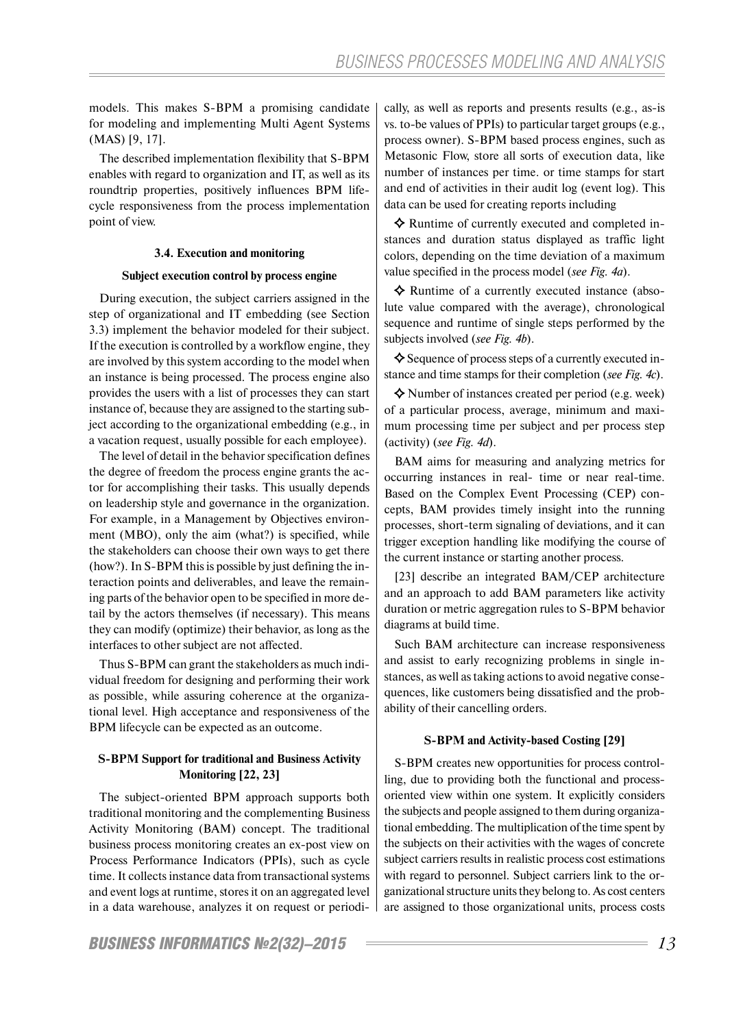models. This makes S-BPM a promising candidate for modeling and implementing Multi Agent Systems (MAS) [9, 17].

The described implementation flexibility that S-BPM enables with regard to organization and IT, as well as its roundtrip properties, positively influences BPM lifecycle responsiveness from the process implementation point of view.

#### **3.4. Execution and monitoring**

#### **Subject execution control by process engine**

During execution, the subject carriers assigned in the step of organizational and IT embedding (see Section 3.3) implement the behavior modeled for their subject. If the execution is controlled by a workflow engine, they are involved by this system according to the model when an instance is being processed. The process engine also provides the users with a list of processes they can start instance of, because they are assigned to the starting subject according to the organizational embedding (e.g., in a vacation request, usually possible for each employee).

The level of detail in the behavior specification defines the degree of freedom the process engine grants the actor for accomplishing their tasks. This usually depends on leadership style and governance in the organization. For example, in a Management by Objectives environment (MBO), only the aim (what?) is specified, while the stakeholders can choose their own ways to get there (how?). In S-BPM this is possible by just defining the interaction points and deliverables, and leave the remaining parts of the behavior open to be specified in more detail by the actors themselves (if necessary). This means they can modify (optimize) their behavior, as long as the interfaces to other subject are not affected.

Thus S-BPM can grant the stakeholders as much individual freedom for designing and performing their work as possible, while assuring coherence at the organizational level. High acceptance and responsiveness of the BPM lifecycle can be expected as an outcome.

# **S-BPM Support for traditional and Business Activity Monitoring [22, 23]**

The subject-oriented BPM approach supports both traditional monitoring and the complementing Business Activity Monitoring (BAM) concept. The traditional business process monitoring creates an ex-post view on Process Performance Indicators (PPIs), such as cycle time. It collects instance data from transactional systems and event logs at runtime, stores it on an aggregated level in a data warehouse, analyzes it on request or periodically, as well as reports and presents results (e.g., as-is vs. to-be values of PPIs) to particular target groups (e.g., process owner). S-BPM based process engines, such as Metasonic Flow, store all sorts of execution data, like number of instances per time. or time stamps for start and end of activities in their audit log (event log). This data can be used for creating reports including

 $\diamond$  Runtime of currently executed and completed instances and duration status displayed as traffic light colors, depending on the time deviation of a maximum value specified in the process model (*see Fig. 4a*).

 $\Diamond$  Runtime of a currently executed instance (absolute value compared with the average), chronological sequence and runtime of single steps performed by the subjects involved (*see Fig. 4b*).

 $\diamond$  Sequence of process steps of a currently executed instance and time stamps for their completion (*see Fig. 4c*).

 $\diamond$  Number of instances created per period (e.g. week) of a particular process, average, minimum and maximum processing time per subject and per process step (activity) (*see Fig. 4d*).

BAM aims for measuring and analyzing metrics for occurring instances in real- time or near real-time. Based on the Complex Event Processing (CEP) concepts, BAM provides timely insight into the running processes, short-term signaling of deviations, and it can trigger exception handling like modifying the course of the current instance or starting another process.

[23] describe an integrated BAM/CEP architecture and an approach to add BAM parameters like activity duration or metric aggregation rules to S-BPM behavior diagrams at build time.

Such BAM architecture can increase responsiveness and assist to early recognizing problems in single instances, as well as taking actions to avoid negative consequences, like customers being dissatisfied and the probability of their cancelling orders.

#### **S-BPM and Activity-based Costing [29]**

S-BPM creates new opportunities for process controlling, due to providing both the functional and processoriented view within one system. It explicitly considers the subjects and people assigned to them during organizational embedding. The multiplication of the time spent by the subjects on their activities with the wages of concrete subject carriers results in realistic process cost estimations with regard to personnel. Subject carriers link to the organizational structure units they belong to. As cost centers are assigned to those organizational units, process costs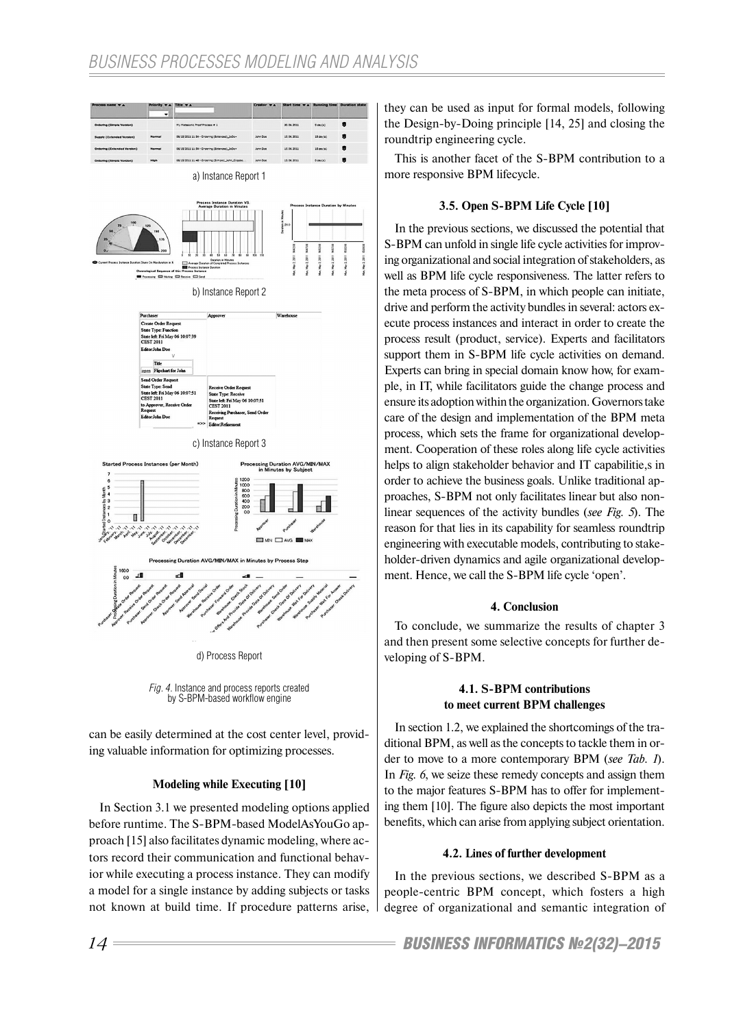

d) Process Report

*Fig. 4*. Instance and process reports created by S-BPM-based workflow engine

can be easily determined at the cost center level, providing valuable information for optimizing processes.

# **Modeling while Executing [10]**

In Section 3.1 we presented modeling options applied before runtime. The S-BPM-based ModelAsYouGo approach [15] also facilitates dynamic modeling, where actors record their communication and functional behavior while executing a process instance. They can modify a model for a single instance by adding subjects or tasks not known at build time. If procedure patterns arise,

they can be used as input for formal models, following the Design-by-Doing principle [14, 25] and closing the roundtrip engineering cycle.

This is another facet of the S-BPM contribution to a more responsive BPM lifecycle.

# **3.5. Open S-BPM Life Cycle [10]**

In the previous sections, we discussed the potential that S-BPM can unfold in single life cycle activities for improving organizational and social integration of stakeholders, as well as BPM life cycle responsiveness. The latter refers to the meta process of S-BPM, in which people can initiate, drive and perform the activity bundles in several: actors execute process instances and interact in order to create the process result (product, service). Experts and facilitators support them in S-BPM life cycle activities on demand. Experts can bring in special domain know how, for example, in IT, while facilitators guide the change process and ensure its adoption within the organization. Governors take care of the design and implementation of the BPM meta process, which sets the frame for organizational development. Cooperation of these roles along life cycle activities helps to align stakeholder behavior and IT capabilitie,s in order to achieve the business goals. Unlike traditional approaches, S-BPM not only facilitates linear but also nonlinear sequences of the activity bundles (*see Fig. 5*). The reason for that lies in its capability for seamless roundtrip engineering with executable models, contributing to stakeholder-driven dynamics and agile organizational development. Hence, we call the S-BPM life cycle 'open'.

# **4. Conclusion**

To conclude, we summarize the results of chapter 3 and then present some selective concepts for further developing of S-BPM.

#### **4.1. S-BPM contributions to meet current BPM challenges**

In section 1.2, we explained the shortcomings of the traditional BPM, as well as the concepts to tackle them in order to move to a more contemporary BPM (*see Tab. 1*). In *Fig. 6*, we seize these remedy concepts and assign them to the major features S-BPM has to offer for implementing them [10]. The figure also depicts the most important benefits, which can arise from applying subject orientation.

# **4.2. Lines of further development**

In the previous sections, we described S-BPM as a people-centric BPM concept, which fosters a high degree of organizational and semantic integration of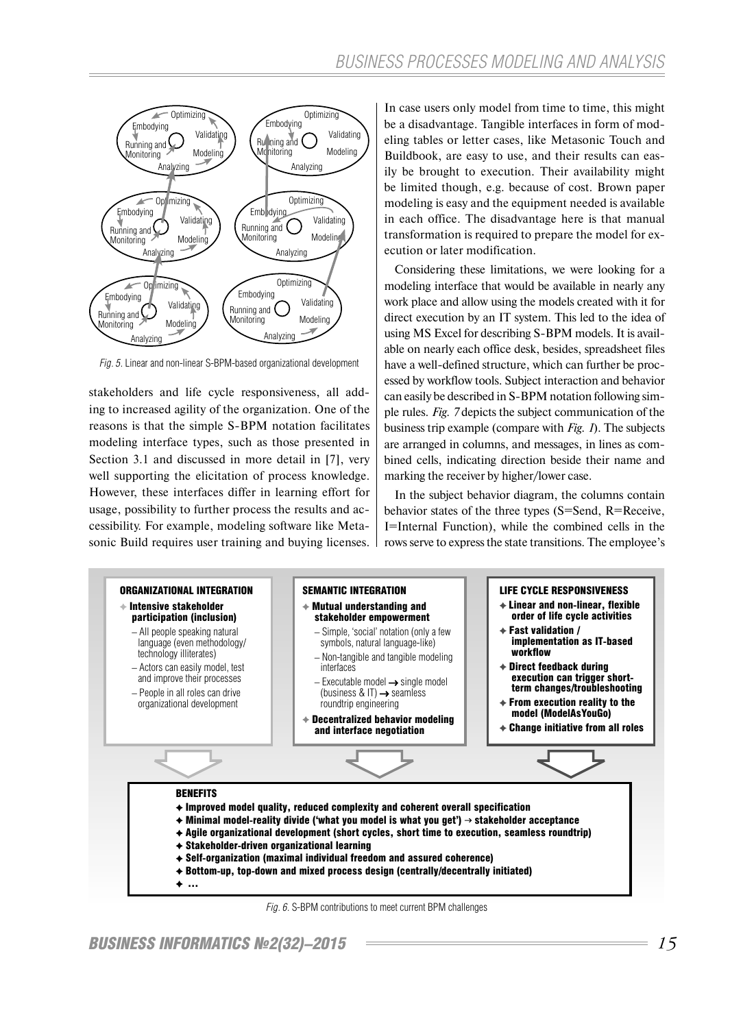

*Fig. 5*. Linear and non-linear S-BPM-based organizational development

stakeholders and life cycle responsiveness, all adding to increased agility of the organization. One of the reasons is that the simple S-BPM notation facilitates modeling interface types, such as those presented in Section 3.1 and discussed in more detail in [7], very well supporting the elicitation of process knowledge. However, these interfaces differ in learning effort for usage, possibility to further process the results and accessibility. For example, modeling software like Metasonic Build requires user training and buying licenses.

In case users only model from time to time, this might be a disadvantage. Tangible interfaces in form of modeling tables or letter cases, like Metasonic Touch and Buildbook, are easy to use, and their results can easily be brought to execution. Their availability might be limited though, e.g. because of cost. Brown paper modeling is easy and the equipment needed is available in each office. The disadvantage here is that manual transformation is required to prepare the model for execution or later modification.

Considering these limitations, we were looking for a modeling interface that would be available in nearly any work place and allow using the models created with it for direct execution by an IT system. This led to the idea of using MS Excel for describing S-BPM models. It is available on nearly each office desk, besides, spreadsheet files have a well-defined structure, which can further be processed by workflow tools. Subject interaction and behavior can easily be described in S-BPM notation following simple rules. *Fig. 7* depicts the subject communication of the business trip example (compare with *Fig. 1*). The subjects are arranged in columns, and messages, in lines as combined cells, indicating direction beside their name and marking the receiver by higher/lower case.

In the subject behavior diagram, the columns contain behavior states of the three types (S=Send, R=Receive, I=Internal Function), while the combined cells in the rows serve to express the state transitions. The employee's



*Fig. 6.* S-BPM contributions to meet current BPM challenges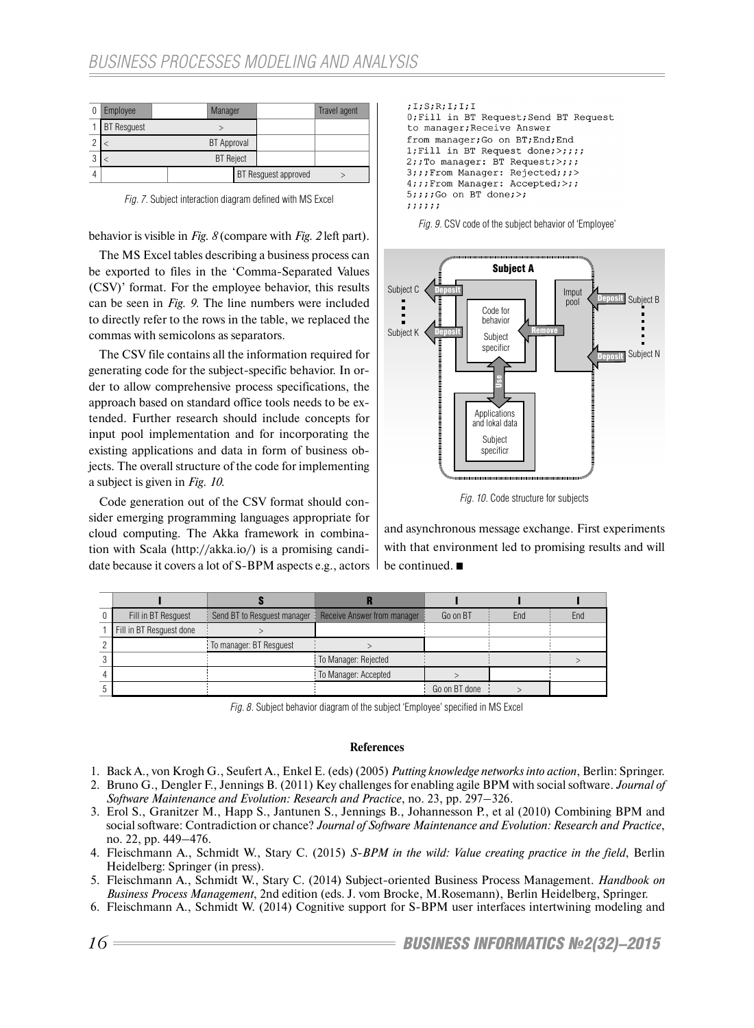| 0 | Employee           | <b>Manager</b>              | Travel agent |
|---|--------------------|-----------------------------|--------------|
|   | <b>BT Resguest</b> |                             |              |
| n |                    | <b>BT</b> Approval          |              |
| 3 |                    | <b>BT</b> Reject            |              |
|   |                    | <b>BT</b> Resguest approved |              |

*Fig. 7*. Subject interaction diagram defined with MS Excel

behavior is visible in *Fig. 8* (compare with *Fig. 2* left part).

The MS Excel tables describing a business process can be exported to files in the 'Comma-Separated Values (CSV)' format. For the employee behavior, this results can be seen in *Fig. 9*. The line numbers were included to directly refer to the rows in the table, we replaced the commas with semicolons as separators.

The CSV file contains all the information required for generating code for the subject-specific behavior. In order to allow comprehensive process specifications, the approach based on standard office tools needs to be extended. Further research should include concepts for input pool implementation and for incorporating the existing applications and data in form of business objects. The overall structure of the code for implementing a subject is given in *Fig. 10*.

Code generation out of the CSV format should consider emerging programming languages appropriate for cloud computing. The Akka framework in combination with Scala (http://akka.io/) is a promising candidate because it covers a lot of S-BPM aspects e.g., actors

```
: I : S : R : I : I : I0; Fill in BT Request; Send BT Request
to manager; Receive Answer
from manager; Go on BT; End; End
1; Fill in BT Request done; >;;;;
2;;To manager: BT Request;>;;;
```
3;;;From Manager: Rejected;;;> 4;;;From Manager: Accepted;>;;  $5$ ;;;;Go on BT done;>;  $777777$ 

*Fig. 9*. CSV code of the subject behavior of 'Employee'



*Fig. 10.* Code structure for subjects

and asynchronous message exchange. First experiments with that environment led to promising results and will be continued.

| Fill in BT Resquest        | Send BT to Resguest manager | <b>Receive Answer from manager</b> | Go on BT      | End | End |
|----------------------------|-----------------------------|------------------------------------|---------------|-----|-----|
| 1 Fill in BT Resguest done |                             |                                    |               |     |     |
|                            | To manager: BT Resquest     |                                    |               |     |     |
|                            |                             | To Manager: Rejected               |               |     |     |
|                            |                             | To Manager: Accepted               |               |     |     |
|                            |                             |                                    | Go on BT done |     |     |

*Fig. 8.* Subject behavior diagram of the subject 'Employee' specified in MS Excel

#### **References**

- 1. Back A., von Krogh G., Seufert A., Enkel E. (eds) (2005) *Putting know ledge networks into action*, Berlin: Springer.
- 2. Bruno G., Dengler F., Jennings B. (2011) Key challenges for enabling agile BPM with social software. *Journal of Software Maintenance and Evolution: Research and Practice*, no. 23, pp. 297–326.
- 3. Erol S., Granitzer M., Happ S., Jantunen S., Jennings B., Johannesson P., et al (2010) Combining BPM and social software: Contradiction or chance? *Journal of Software Maintenance and Evolution: Research and Practice*, no. 22, pp. 449–476.
- 4. Fleischmann A., Schmidt W., Stary C. (2015) *S-BPM in the wild: Value creating practice in the field*, Berlin Heidelberg: Springer (in press).
- 5. Fleischmann A., Schmidt W., Stary C. (2014) Subject-oriented Business Process Management. *Handbook on Business Process Management*, 2nd edition (eds. J. vom Brocke, M.Rosemann), Berlin Heidelberg, Springer.
- 6. Fleischmann A., Schmidt W. (2014) Cognitive support for S-BPM user interfaces intertwining modeling and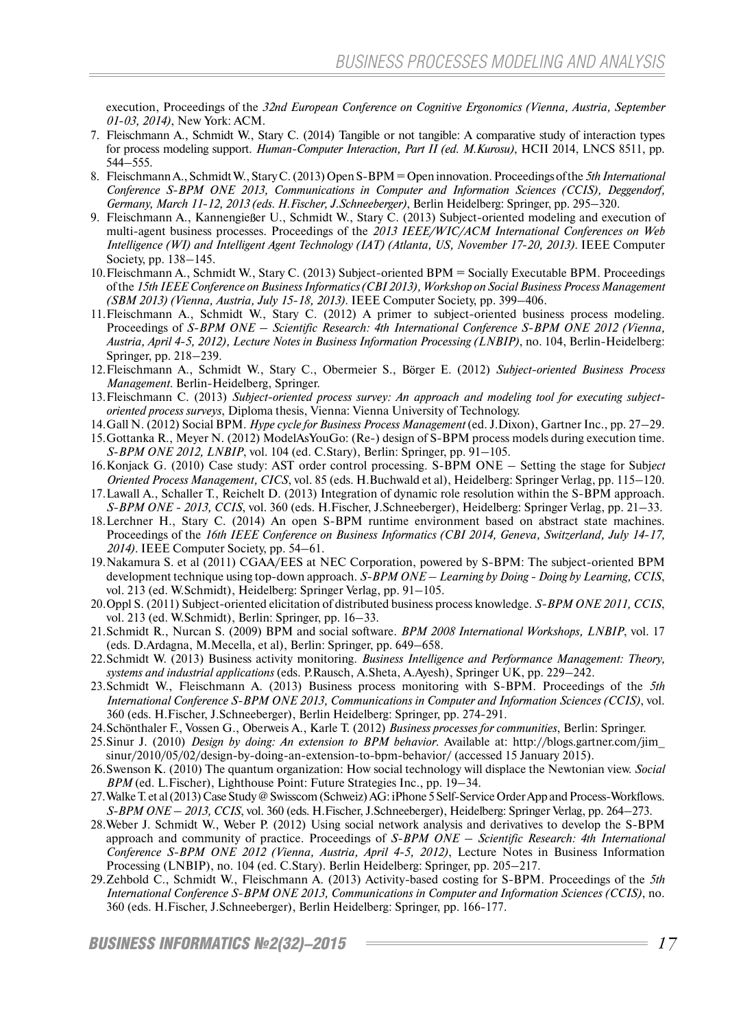execution, Proceedings of the *32nd European Conference on Cognitive Ergonomics (Vienna, Austria, September 01-03, 2014)*, New York: ACM.

- 7. Fleischmann A., Schmidt W., Stary C. (2014) Tangible or not tangible: A comparative study of interaction types for process modeling support. *Human-Computer Interaction, Part II (ed. M.Kurosu)*, HCII 2014, LNCS 8511, pp. 544–555.
- 8. Fleischmann A., Schmidt W., Stary C. (2013) Open S-BPM = Open innovation. Proceedings of the *5th International Conference S-BPM ONE 2013, Communications in Computer and Information Sciences (CCIS), Deggendorf, Germany, March 11-12, 2013 (eds. H.Fischer, J.Schneeberger)*, Berlin Heidelberg: Springer, pp. 295–320.
- 9. Fleischmann A., Kannengießer U., Schmidt W., Stary C. (2013) Subject-oriented modeling and execution of multi-agent business processes. Proceedings of the *2013 IEEE/WIC/ACM International Conferences on Web Intelligence (WI) and Intelligent Agent Technology (IAT) (Atlanta, US, November 17-20, 2013)*. IEEE Computer Society, pp. 138–145.
- 10. Fleischmann A., Schmidt W., Stary C. (2013) Subject-oriented BPM = Socially Executable BPM. Proceedings of the *15th IEEE Conference on Business Informatics (CBI 2013), Workshop on Social Business Process Management (SBM 2013) (Vienna, Austria, July 15-18, 2013)*. IEEE Computer Society, pp. 399–406.
- 11. Fleischmann A., Schmidt W., Stary C. (2012) A primer to subject-oriented business process modeling. Proceedings of *S-BPM ONE – Scientific Research: 4th International Conference S-BPM ONE 2012 (Vienna, Austria, April 4-5, 2012), Lecture Notes in Business Information Processing (LNBIP)*, no. 104, Berlin-Heidelberg: Springer, pp. 218–239.
- 12. Fleischmann A., Schmidt W., Stary C., Obermeier S., Börger E. (2012) *Subject-oriented Business Process Management*. Berlin-Heidelberg, Springer.
- 13. Fleischmann C. (2013) *Subject-oriented process survey: An approach and modeling tool for executing subjectoriented process surveys*, Diploma thesis, Vienna: Vienna University of Technology.
- 14. Gall N. (2012) Social BPM. *Hype cycle for Business Process Management* (ed. J.Dixon), Gartner Inc., pp. 27–29.
- 15. Gottanka R., Meyer N. (2012) ModelAsYouGo: (Re-) design of S-BPM process models during execution time. *S-BPM ONE 2012, LNBIP*, vol. 104 (ed. C.Stary), Berlin: Springer, pp. 91–105.
- 16. Konjack G. (2010) Case study: AST order control processing. S-BPM ONE Setting the stage for Subj*ect Oriented Process Management, CICS*, vol. 85 (eds. H.Buchwald et al), Heidelberg: Springer Verlag, pp. 115–120.
- 17. Lawall A., Schaller T., Reichelt D. (2013) Integration of dynamic role resolution within the S-BPM approach. *S-BPM ONE - 2013, CCIS*, vol. 360 (eds. H.Fischer, J.Schneeberger), Heidelberg: Springer Verlag, pp. 21–33.
- 18. Lerchner H., Stary C. (2014) An open S-BPM runtime environment based on abstract state machines. Proceedings of the *16th IEEE Conference on Business Informatics (CBI 2014, Geneva, Switzerland, July 14-17, 2014)*. IEEE Computer Society, pp. 54–61.
- 19. Nakamura S. et al (2011) CGAA/EES at NEC Corporation, powered by S-BPM: The subject-oriented BPM development technique using top-down approach. *S-BPM ONE – Learning by Doing - Doing by Learning, CCIS*, vol. 213 (ed. W.Schmidt), Heidelberg: Springer Verlag, pp. 91–105.
- 20. Oppl S. (2011) Subject-oriented elicitation of distributed business process knowledge. *S-BPM ONE 2011, CCIS*, vol. 213 (ed. W.Schmidt), Berlin: Springer, pp. 16–33.
- 21. Schmidt R., Nurcan S. (2009) BPM and social software. *BPM 2008 International Workshops, LNBIP*, vol. 17 (eds. D.Ardagna, M.Mecella, et al), Berlin: Springer, pp. 649–658.
- 22. Schmidt W. (2013) Business activity monitoring. *Business Intelligence and Performance Management: Theory, systems and industrial applications* (eds. P.Rausch, A.Sheta, A.Ayesh), Springer UK, pp. 229–242.
- 23. Schmidt W., Fleischmann A. (2013) Business process monitoring with S-BPM. Proceedings of the *5th International Conference S-BPM ONE 2013, Communications in Computer and Information Sciences (CCIS)*, vol. 360 (eds. H.Fischer, J.Schneeberger), Berlin Heidelberg: Springer, pp. 274-291.
- 24. Sch nthaler F., Vossen G., Oberweis A., Karle T. (2012) *Business processes for communities*, Berlin: Springer.
- 25. Sinur J. (2010) *Design by doing: An extension to BPM behavior*. Available at: http://blogs.gartner.com/jim\_ sinur/2010/05/02/design-by-doing-an-extension-to-bpm-behavior/ (accessed 15 January 2015).
- 26. Swenson K. (2010) The quantum organization: How social technology will displace the Newtonian view. *Social BPM* (ed. L.Fischer), Lighthouse Point: Future Strategies Inc., pp. 19–34.
- 27. Walke T. et al (2013) Case Study @ Swisscom (Schweiz) AG: iPhone 5 Self-Service Order App and Process-Workflows. *S-BPM ONE – 2013, CCIS*, vol. 360 (eds. H.Fischer, J.Schneeberger), Heidelberg: Springer Verlag, pp. 264–273.
- 28. Weber J. Schmidt W., Weber P. (2012) Using social network analysis and derivatives to develop the S-BPM approach and community of practice. Proceedings of *S-BPM ONE – Scientific Research: 4th International Conference S-BPM ONE 2012 (Vienna, Austria, April 4-5, 2012)*, Lecture Notes in Business Information Processing (LNBIP), no. 104 (ed. C.Stary). Berlin Heidelberg: Springer, pp. 205–217.
- 29. Zehbold C., Schmidt W., Fleischmann A. (2013) Activity-based costing for S-BPM. Proceedings of the *5th International Conference S-BPM ONE 2013, Communications in Computer and Information Sciences (CCIS)*, no. 360 (eds. H.Fischer, J.Schneeberger), Berlin Heidelberg: Springer, pp. 166-177.

*BUSINESS INFORMATICS №2(32)–2015 17*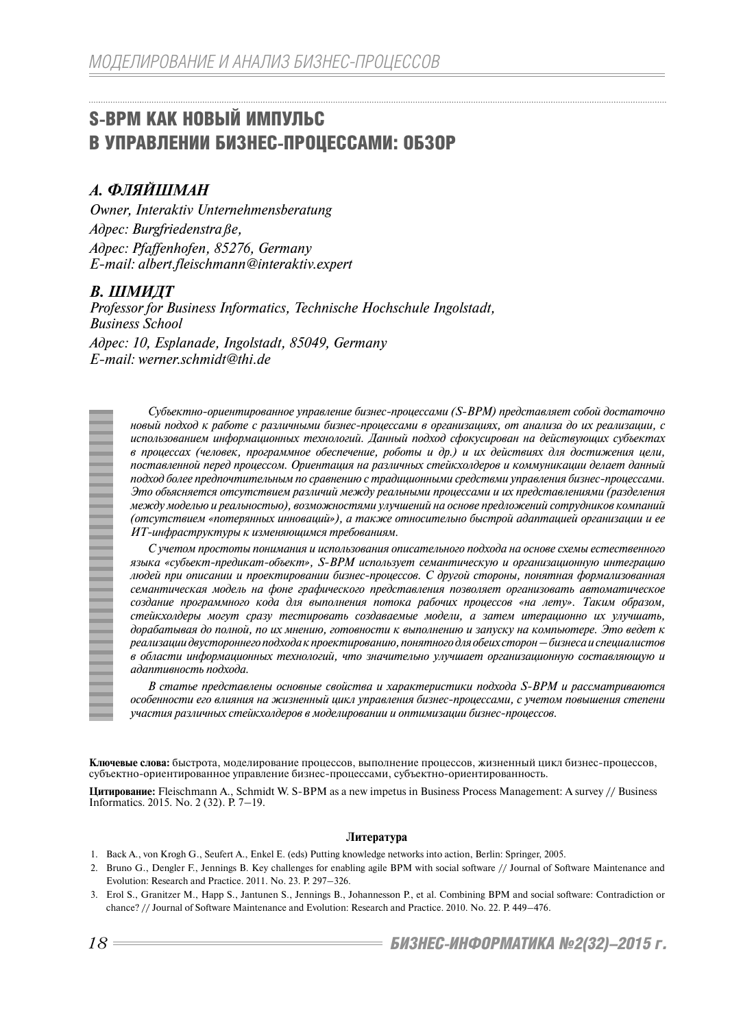# S-BPM КАК НОВЫЙ ИМПУЛЬС В УПРАВЛЕНИИ БИЗНЕС-ПРОЦЕССАМИ: ОБЗОР

# *А. ФЛЯЙШМАН*

*Owner, Interaktiv Unternehmensberatung* Адрес: Burgfriedenstra  $\beta e$ , *Адрес: Pfaffenhofen, 85276, Germany E-mail: albert.fleischmann@interaktiv.expert*

# *В. ШМИДТ*

*Professor for Business Informatics, Technische Hochschule Ingolstadt, Business School Адрес: 10, Esplanade, Ingolstadt, 85049, Germany E-mail: werner.schmidt@thi.de*

*Субъектно-ориентированное управление бизнес-процессами (S-BPM) представляет собой достаточно новый подход к работе с различными бизнес-процессами в организациях, от анализа до их реализации, с использованием информационных технологий. Данный подход сфокусирован на действующих субъектах в процессах (человек, программное обеспечение, роботы и др.) и их действиях для достижения цели, поставленной перед процессом. Ориентация на различных стейкхолдеров и коммуникации делает данный подход более предпочтительным по сравнению с традиционными средствми управления бизнес-процессами. Это объясняется отсутствием различий между реальными процессами и их представлениями (разделения между моделью и реальностью), возможностями улучшений на основе предложений сотрудников компаний (отсутствием «потерянных инноваций»), а также относительно быстрой адаптацией организации и ее ИТ-инфраструктуры к изменяющимся требованиям.*

*С учетом простоты понимания и использования описательного подхода на основе схемы естественного языка «субъект-предикат-объект», S-BPM использует семантическую и организационную интеграцию людей при описании и проектировании бизнес-процессов. С другой стороны, понятная формализованная семантическая модель на фоне графического представления позволяет организовать автоматическое создание программного кода для выполнения потока рабочих процессов «на лету». Таким образом, стейкхолдеры могут сразу тестировать создаваемые модели, а затем итерационно их улучшать, дорабатывая до полной, по их мнению, готовности к выполнению и запуску на компьютере. Это ведет к реализации двустороннего подхода к проектированию, понятного для обеих сторон – бизнеса и специалистов в области информационных технологий, что значительно улучшает организационную составляющую и адаптивность подхода.* 

*В статье представлены основные свойства и характеристики подхода S-BPM и рассматриваются особенности его влияния на жизненный цикл управления бизнес-процессами, с учетом повышения степени участия различных стейкхолдеров в моделировании и оптимизации бизнес-процессов.* 

**Ключевые слова:** быстрота, моделирование процессов, выполнение процессов, жизненный цикл бизнес-процессов, субъектно-ориентированное управление бизнес-процессами, субъектно-ориентированность.

**Цитирование:** Fleischmann A., Schmidt W. S-BPM as a new impetus in Business Process Management: A survey // Business Informatics. 2015. No. 2 (32). P. 7–19.

#### **Литература**

- 1. Back A., von Krogh G., Seufert A., Enkel E. (eds) Putting know ledge networks into action, Berlin: Springer, 2005.
- 2. Bruno G., Dengler F., Jennings B. Key challenges for enabling agile BPM with social software // Journal of Software Maintenance and Evolution: Research and Practice. 2011. No. 23. P. 297–326.
- 3. Erol S., Granitzer M., Happ S., Jantunen S., Jennings B., Johannesson P., et al. Combining BPM and social software: Contradiction or chance? // Journal of Software Maintenance and Evolution: Research and Practice. 2010. No. 22. P. 449–476.